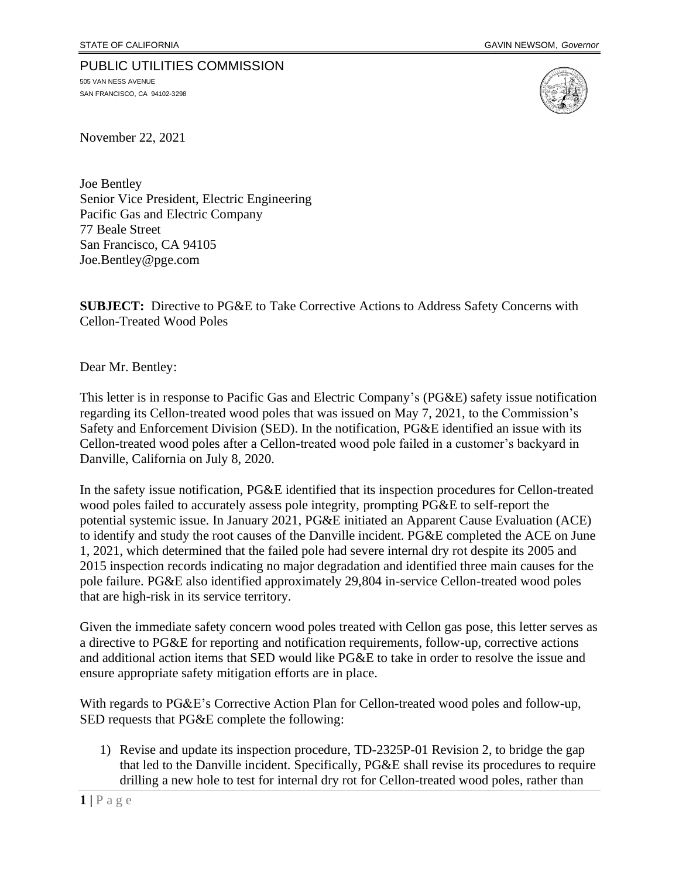## PUBLIC UTILITIES COMMISSION

505 VAN NESS AVENUE SAN FRANCISCO, CA 94102-3298



November 22, 2021

Joe Bentley Senior Vice President, Electric Engineering Pacific Gas and Electric Company 77 Beale Street San Francisco, CA 94105 Joe.Bentley@pge.com

**SUBJECT:** Directive to PG&E to Take Corrective Actions to Address Safety Concerns with Cellon-Treated Wood Poles

Dear Mr. Bentley:

This letter is in response to Pacific Gas and Electric Company's (PG&E) safety issue notification regarding its Cellon-treated wood poles that was issued on May 7, 2021, to the Commission's Safety and Enforcement Division (SED). In the notification, PG&E identified an issue with its Cellon-treated wood poles after a Cellon-treated wood pole failed in a customer's backyard in Danville, California on July 8, 2020.

In the safety issue notification, PG&E identified that its inspection procedures for Cellon-treated wood poles failed to accurately assess pole integrity, prompting PG&E to self-report the potential systemic issue. In January 2021, PG&E initiated an Apparent Cause Evaluation (ACE) to identify and study the root causes of the Danville incident. PG&E completed the ACE on June 1, 2021, which determined that the failed pole had severe internal dry rot despite its 2005 and 2015 inspection records indicating no major degradation and identified three main causes for the pole failure. PG&E also identified approximately 29,804 in-service Cellon-treated wood poles that are high-risk in its service territory.

Given the immediate safety concern wood poles treated with Cellon gas pose, this letter serves as a directive to PG&E for reporting and notification requirements, follow-up, corrective actions and additional action items that SED would like PG&E to take in order to resolve the issue and ensure appropriate safety mitigation efforts are in place.

With regards to PG&E's Corrective Action Plan for Cellon-treated wood poles and follow-up, SED requests that PG&E complete the following:

1) Revise and update its inspection procedure, TD-2325P-01 Revision 2, to bridge the gap that led to the Danville incident. Specifically, PG&E shall revise its procedures to require drilling a new hole to test for internal dry rot for Cellon-treated wood poles, rather than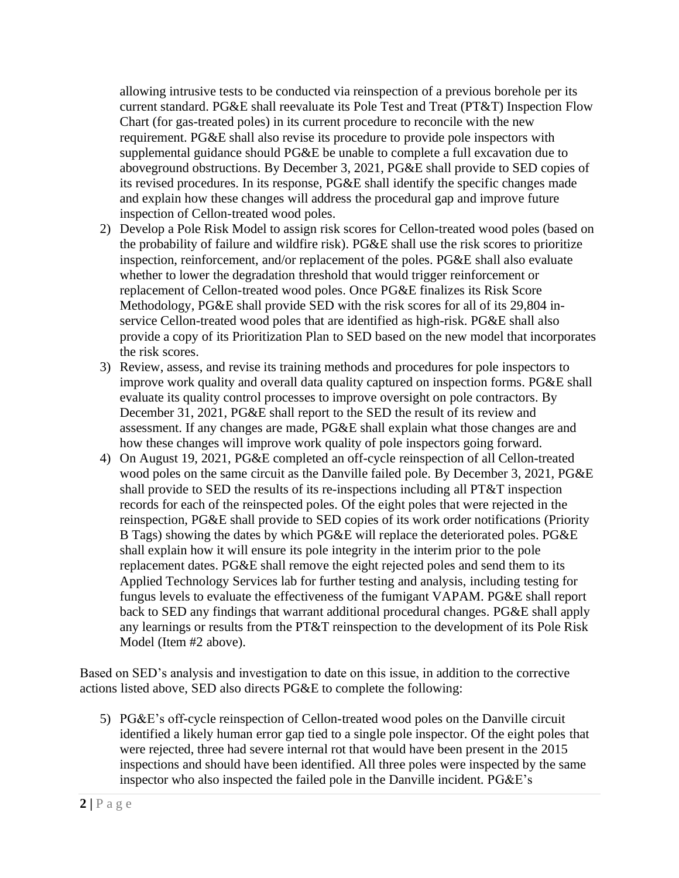allowing intrusive tests to be conducted via reinspection of a previous borehole per its current standard. PG&E shall reevaluate its Pole Test and Treat (PT&T) Inspection Flow Chart (for gas-treated poles) in its current procedure to reconcile with the new requirement. PG&E shall also revise its procedure to provide pole inspectors with supplemental guidance should PG&E be unable to complete a full excavation due to aboveground obstructions. By December 3, 2021, PG&E shall provide to SED copies of its revised procedures. In its response, PG&E shall identify the specific changes made and explain how these changes will address the procedural gap and improve future inspection of Cellon-treated wood poles.

- 2) Develop a Pole Risk Model to assign risk scores for Cellon-treated wood poles (based on the probability of failure and wildfire risk). PG&E shall use the risk scores to prioritize inspection, reinforcement, and/or replacement of the poles. PG&E shall also evaluate whether to lower the degradation threshold that would trigger reinforcement or replacement of Cellon-treated wood poles. Once PG&E finalizes its Risk Score Methodology, PG&E shall provide SED with the risk scores for all of its 29,804 inservice Cellon-treated wood poles that are identified as high-risk. PG&E shall also provide a copy of its Prioritization Plan to SED based on the new model that incorporates the risk scores.
- 3) Review, assess, and revise its training methods and procedures for pole inspectors to improve work quality and overall data quality captured on inspection forms. PG&E shall evaluate its quality control processes to improve oversight on pole contractors. By December 31, 2021, PG&E shall report to the SED the result of its review and assessment. If any changes are made, PG&E shall explain what those changes are and how these changes will improve work quality of pole inspectors going forward.
- 4) On August 19, 2021, PG&E completed an off-cycle reinspection of all Cellon-treated wood poles on the same circuit as the Danville failed pole. By December 3, 2021, PG&E shall provide to SED the results of its re-inspections including all PT&T inspection records for each of the reinspected poles. Of the eight poles that were rejected in the reinspection, PG&E shall provide to SED copies of its work order notifications (Priority B Tags) showing the dates by which PG&E will replace the deteriorated poles. PG&E shall explain how it will ensure its pole integrity in the interim prior to the pole replacement dates. PG&E shall remove the eight rejected poles and send them to its Applied Technology Services lab for further testing and analysis, including testing for fungus levels to evaluate the effectiveness of the fumigant VAPAM. PG&E shall report back to SED any findings that warrant additional procedural changes. PG&E shall apply any learnings or results from the PT&T reinspection to the development of its Pole Risk Model (Item #2 above).

Based on SED's analysis and investigation to date on this issue, in addition to the corrective actions listed above, SED also directs PG&E to complete the following:

5) PG&E's off-cycle reinspection of Cellon-treated wood poles on the Danville circuit identified a likely human error gap tied to a single pole inspector. Of the eight poles that were rejected, three had severe internal rot that would have been present in the 2015 inspections and should have been identified. All three poles were inspected by the same inspector who also inspected the failed pole in the Danville incident. PG&E's